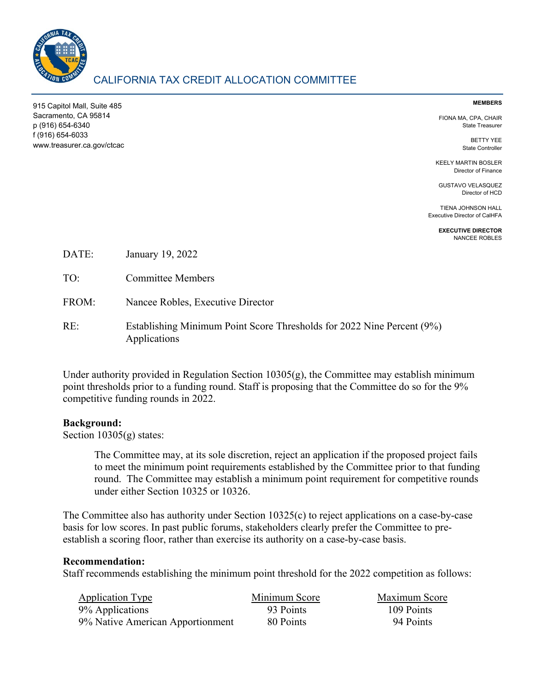

# CALIFORNIA TAX CREDIT ALLOCATION COMMITTEE

915 Capitol Mall, Suite 485 Sacramento, CA 95814 p (916) 654-6340 f (916) 654-6033 www.treasurer.ca.gov/ctcac

#### **MEMBERS**

FIONA MA, CPA, CHAIR State Treasurer

> BETTY YEE State Controller

KEELY MARTIN BOSLER Director of Finance

GUSTAVO VELASQUEZ Director of HCD

TIENA JOHNSON HALL Executive Director of CalHFA

> **EXECUTIVE DIRECTOR** NANCEE ROBLES

| DATE: | January 19, 2022 |  |
|-------|------------------|--|
|-------|------------------|--|

- TO: Committee Members
- FROM: Nancee Robles, Executive Director
- RE: Establishing Minimum Point Score Thresholds for 2022 Nine Percent (9%) Applications

Under authority provided in Regulation Section 10305(g), the Committee may establish minimum point thresholds prior to a funding round. Staff is proposing that the Committee do so for the 9% competitive funding rounds in 2022.

### **Background:**

Section 10305(g) states:

The Committee may, at its sole discretion, reject an application if the proposed project fails to meet the minimum point requirements established by the Committee prior to that funding round. The Committee may establish a minimum point requirement for competitive rounds under either Section 10325 or 10326.

The Committee also has authority under Section 10325(c) to reject applications on a case-by-case basis for low scores. In past public forums, stakeholders clearly prefer the Committee to preestablish a scoring floor, rather than exercise its authority on a case-by-case basis.

### **Recommendation:**

Staff recommends establishing the minimum point threshold for the 2022 competition as follows:

| <b>Application Type</b>          | Minimum Score | Maximum Score |
|----------------------------------|---------------|---------------|
| 9% Applications                  | 93 Points     | 109 Points    |
| 9% Native American Apportionment | 80 Points     | 94 Points     |